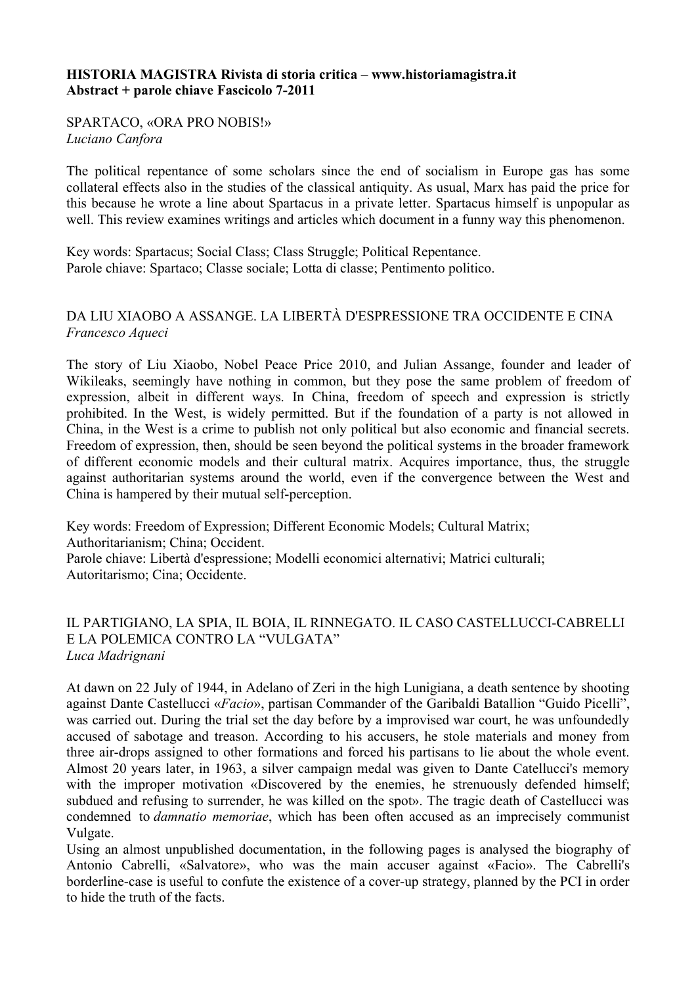## **HISTORIA MAGISTRA Rivista di storia critica – www.historiamagistra.it Abstract + parole chiave Fascicolo 7-2011**

SPARTACO, «ORA PRO NOBIS!» *Luciano Canfora*

The political repentance of some scholars since the end of socialism in Europe gas has some collateral effects also in the studies of the classical antiquity. As usual, Marx has paid the price for this because he wrote a line about Spartacus in a private letter. Spartacus himself is unpopular as well. This review examines writings and articles which document in a funny way this phenomenon.

Key words: Spartacus; Social Class; Class Struggle; Political Repentance. Parole chiave: Spartaco; Classe sociale; Lotta di classe; Pentimento politico.

# DA LIU XIAOBO A ASSANGE. LA LIBERTÀ D'ESPRESSIONE TRA OCCIDENTE E CINA *Francesco Aqueci*

The story of Liu Xiaobo, Nobel Peace Price 2010, and Julian Assange, founder and leader of Wikileaks, seemingly have nothing in common, but they pose the same problem of freedom of expression, albeit in different ways. In China, freedom of speech and expression is strictly prohibited. In the West, is widely permitted. But if the foundation of a party is not allowed in China, in the West is a crime to publish not only political but also economic and financial secrets. Freedom of expression, then, should be seen beyond the political systems in the broader framework of different economic models and their cultural matrix. Acquires importance, thus, the struggle against authoritarian systems around the world, even if the convergence between the West and China is hampered by their mutual self-perception.

Key words: Freedom of Expression; Different Economic Models; Cultural Matrix; Authoritarianism; China; Occident. Parole chiave: Libertà d'espressione; Modelli economici alternativi; Matrici culturali; Autoritarismo; Cina; Occidente.

## IL PARTIGIANO, LA SPIA, IL BOIA, IL RINNEGATO. IL CASO CASTELLUCCI-CABRELLI E LA POLEMICA CONTRO LA "VULGATA" *Luca Madrignani*

At dawn on 22 July of 1944, in Adelano of Zeri in the high Lunigiana, a death sentence by shooting against Dante Castellucci «*Facio*», partisan Commander of the Garibaldi Batallion "Guido Picelli", was carried out. During the trial set the day before by a improvised war court, he was unfoundedly accused of sabotage and treason. According to his accusers, he stole materials and money from three air-drops assigned to other formations and forced his partisans to lie about the whole event. Almost 20 years later, in 1963, a silver campaign medal was given to Dante Catellucci's memory with the improper motivation «Discovered by the enemies, he strenuously defended himself; subdued and refusing to surrender, he was killed on the spot». The tragic death of Castellucci was condemned to *damnatio memoriae*, which has been often accused as an imprecisely communist Vulgate.

Using an almost unpublished documentation, in the following pages is analysed the biography of Antonio Cabrelli, «Salvatore», who was the main accuser against «Facio». The Cabrelli's borderline-case is useful to confute the existence of a cover-up strategy, planned by the PCI in order to hide the truth of the facts.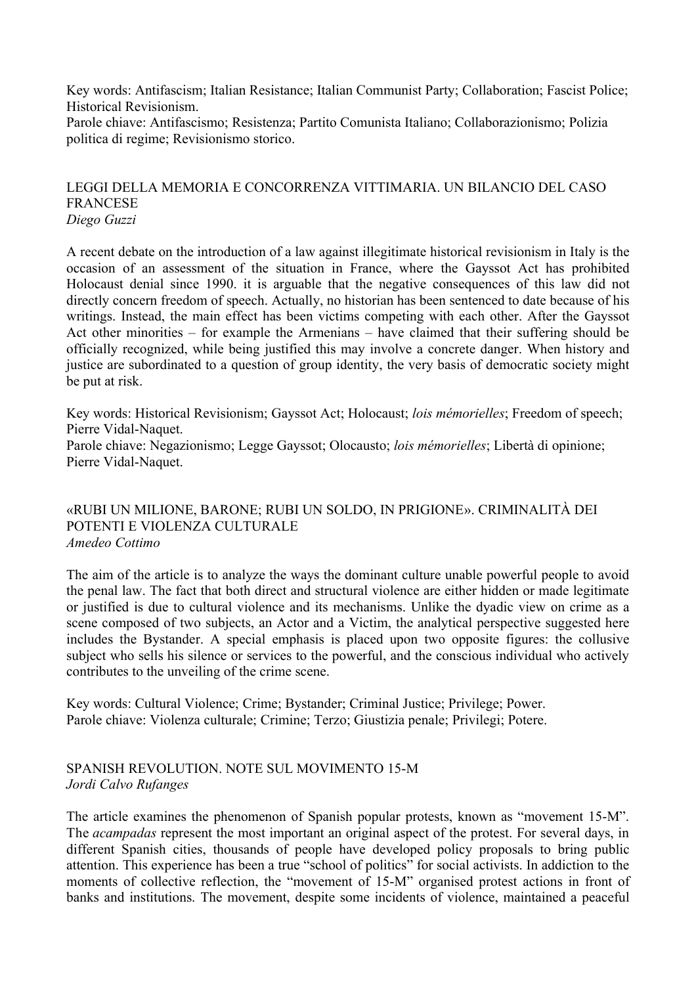Key words: Antifascism; Italian Resistance; Italian Communist Party; Collaboration; Fascist Police; Historical Revisionism.

Parole chiave: Antifascismo; Resistenza; Partito Comunista Italiano; Collaborazionismo; Polizia politica di regime; Revisionismo storico.

#### LEGGI DELLA MEMORIA E CONCORRENZA VITTIMARIA. UN BILANCIO DEL CASO FRANCESE *Diego Guzzi*

A recent debate on the introduction of a law against illegitimate historical revisionism in Italy is the occasion of an assessment of the situation in France, where the Gayssot Act has prohibited Holocaust denial since 1990. it is arguable that the negative consequences of this law did not directly concern freedom of speech. Actually, no historian has been sentenced to date because of his writings. Instead, the main effect has been victims competing with each other. After the Gayssot Act other minorities – for example the Armenians – have claimed that their suffering should be officially recognized, while being justified this may involve a concrete danger. When history and justice are subordinated to a question of group identity, the very basis of democratic society might be put at risk.

Key words: Historical Revisionism; Gayssot Act; Holocaust; *lois mémorielles*; Freedom of speech; Pierre Vidal-Naquet. Parole chiave: Negazionismo; Legge Gayssot; Olocausto; *lois mémorielles*; Libertà di opinione; Pierre Vidal-Naquet.

### «RUBI UN MILIONE, BARONE; RUBI UN SOLDO, IN PRIGIONE». CRIMINALITÀ DEI POTENTI E VIOLENZA CULTURALE *Amedeo Cottimo*

The aim of the article is to analyze the ways the dominant culture unable powerful people to avoid the penal law. The fact that both direct and structural violence are either hidden or made legitimate or justified is due to cultural violence and its mechanisms. Unlike the dyadic view on crime as a scene composed of two subjects, an Actor and a Victim, the analytical perspective suggested here includes the Bystander. A special emphasis is placed upon two opposite figures: the collusive subject who sells his silence or services to the powerful, and the conscious individual who actively contributes to the unveiling of the crime scene.

Key words: Cultural Violence; Crime; Bystander; Criminal Justice; Privilege; Power. Parole chiave: Violenza culturale; Crimine; Terzo; Giustizia penale; Privilegi; Potere.

# SPANISH REVOLUTION. NOTE SUL MOVIMENTO 15-M *Jordi Calvo Rufanges*

The article examines the phenomenon of Spanish popular protests, known as "movement 15-M". The *acampadas* represent the most important an original aspect of the protest. For several days, in different Spanish cities, thousands of people have developed policy proposals to bring public attention. This experience has been a true "school of politics" for social activists. In addiction to the moments of collective reflection, the "movement of 15-M" organised protest actions in front of banks and institutions. The movement, despite some incidents of violence, maintained a peaceful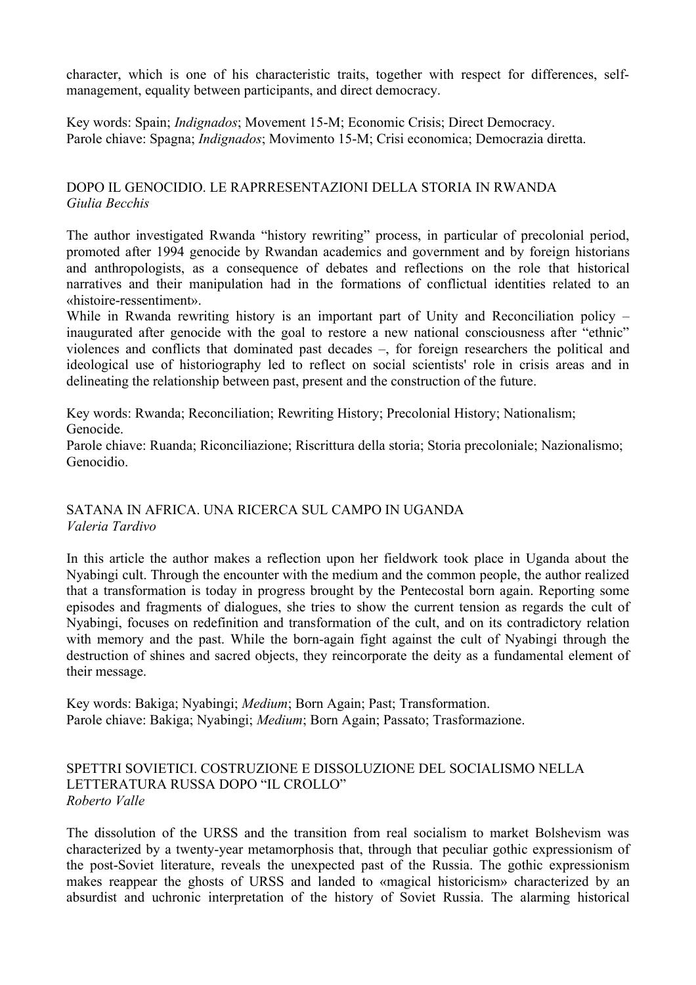character, which is one of his characteristic traits, together with respect for differences, selfmanagement, equality between participants, and direct democracy.

Key words: Spain; *Indignados*; Movement 15-M; Economic Crisis; Direct Democracy. Parole chiave: Spagna; *Indignados*; Movimento 15-M; Crisi economica; Democrazia diretta.

# DOPO IL GENOCIDIO. LE RAPRRESENTAZIONI DELLA STORIA IN RWANDA *Giulia Becchis*

The author investigated Rwanda "history rewriting" process, in particular of precolonial period, promoted after 1994 genocide by Rwandan academics and government and by foreign historians and anthropologists, as a consequence of debates and reflections on the role that historical narratives and their manipulation had in the formations of conflictual identities related to an «histoire-ressentiment».

While in Rwanda rewriting history is an important part of Unity and Reconciliation policy – inaugurated after genocide with the goal to restore a new national consciousness after "ethnic" violences and conflicts that dominated past decades –, for foreign researchers the political and ideological use of historiography led to reflect on social scientists' role in crisis areas and in delineating the relationship between past, present and the construction of the future.

Key words: Rwanda; Reconciliation; Rewriting History; Precolonial History; Nationalism; Genocide.

Parole chiave: Ruanda; Riconciliazione; Riscrittura della storia; Storia precoloniale; Nazionalismo; Genocidio.

## SATANA IN AFRICA. UNA RICERCA SUL CAMPO IN UGANDA *Valeria Tardivo*

In this article the author makes a reflection upon her fieldwork took place in Uganda about the Nyabingi cult. Through the encounter with the medium and the common people, the author realized that a transformation is today in progress brought by the Pentecostal born again. Reporting some episodes and fragments of dialogues, she tries to show the current tension as regards the cult of Nyabingi, focuses on redefinition and transformation of the cult, and on its contradictory relation with memory and the past. While the born-again fight against the cult of Nyabingi through the destruction of shines and sacred objects, they reincorporate the deity as a fundamental element of their message.

Key words: Bakiga; Nyabingi; *Medium*; Born Again; Past; Transformation. Parole chiave: Bakiga; Nyabingi; *Medium*; Born Again; Passato; Trasformazione.

#### SPETTRI SOVIETICI. COSTRUZIONE E DISSOLUZIONE DEL SOCIALISMO NELLA LETTERATURA RUSSA DOPO "IL CROLLO" *Roberto Valle*

The dissolution of the URSS and the transition from real socialism to market Bolshevism was characterized by a twenty-year metamorphosis that, through that peculiar gothic expressionism of the post-Soviet literature, reveals the unexpected past of the Russia. The gothic expressionism makes reappear the ghosts of URSS and landed to «magical historicism» characterized by an absurdist and uchronic interpretation of the history of Soviet Russia. The alarming historical